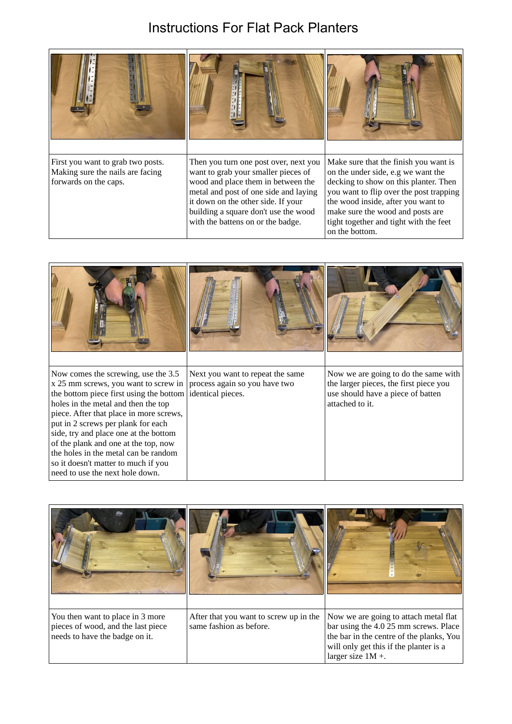## Instructions For Flat Pack Planters

| First you want to grab two posts.<br>Making sure the nails are facing<br>forwards on the caps. | Then you turn one post over, next you<br>want to grab your smaller pieces of<br>wood and place them in between the<br>metal and post of one side and laying<br>it down on the other side. If your<br>building a square don't use the wood<br>with the battens on or the badge. | Make sure that the finish you want is<br>on the under side, e.g we want the<br>decking to show on this planter. Then<br>you want to flip over the post trapping<br>the wood inside, after you want to<br>make sure the wood and posts are<br>tight together and tight with the feet<br>on the bottom. |
|------------------------------------------------------------------------------------------------|--------------------------------------------------------------------------------------------------------------------------------------------------------------------------------------------------------------------------------------------------------------------------------|-------------------------------------------------------------------------------------------------------------------------------------------------------------------------------------------------------------------------------------------------------------------------------------------------------|

| Now comes the screwing, use the 3.5<br>x 25 mm screws, you want to screw in<br>the bottom piece first using the bottom<br>holes in the metal and then the top<br>piece. After that place in more screws,<br>put in 2 screws per plank for each<br>side, try and place one at the bottom<br>of the plank and one at the top, now<br>the holes in the metal can be random<br>so it doesn't matter to much if you<br>need to use the next hole down. | Next you want to repeat the same<br>process again so you have two<br>identical pieces. | Now we are going to do the same with<br>the larger pieces, the first piece you<br>use should have a piece of batten<br>attached to it. |
|---------------------------------------------------------------------------------------------------------------------------------------------------------------------------------------------------------------------------------------------------------------------------------------------------------------------------------------------------------------------------------------------------------------------------------------------------|----------------------------------------------------------------------------------------|----------------------------------------------------------------------------------------------------------------------------------------|

| You then want to place in 3 more<br>pieces of wood, and the last piece<br>needs to have the badge on it. | After that you want to screw up in the<br>same fashion as before. | Now we are going to attach metal flat<br>bar using the 4.0 25 mm screws. Place<br>the bar in the centre of the planks, You<br>will only get this if the planter is a<br>larger size $1M +$ . |
|----------------------------------------------------------------------------------------------------------|-------------------------------------------------------------------|----------------------------------------------------------------------------------------------------------------------------------------------------------------------------------------------|